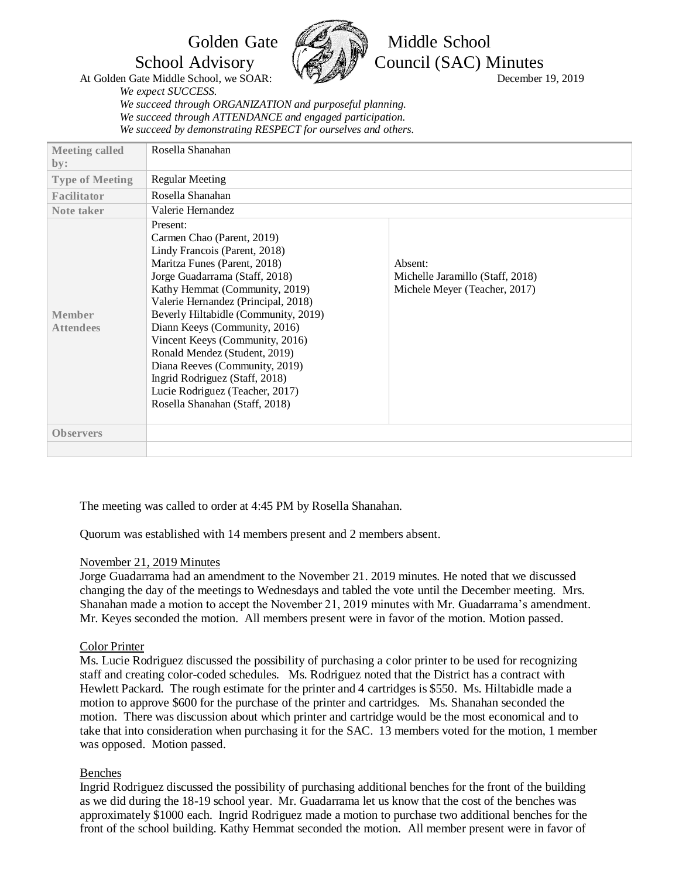

Golden Gate *CA* Niddle School School Advisory  $\left(\mathscr{B}\right)\otimes\mathscr{B}$  Council (SAC) Minutes

*We expect SUCCESS. We succeed through ORGANIZATION and purposeful planning. We succeed through ATTENDANCE and engaged participation. We succeed by demonstrating RESPECT for ourselves and others.*

| <b>Meeting called</b>             | Rosella Shanahan                                                                                                                                                                                                                                                                                                                                                                                                                                                                                         |                                                                              |
|-----------------------------------|----------------------------------------------------------------------------------------------------------------------------------------------------------------------------------------------------------------------------------------------------------------------------------------------------------------------------------------------------------------------------------------------------------------------------------------------------------------------------------------------------------|------------------------------------------------------------------------------|
| by:                               |                                                                                                                                                                                                                                                                                                                                                                                                                                                                                                          |                                                                              |
| <b>Type of Meeting</b>            | <b>Regular Meeting</b>                                                                                                                                                                                                                                                                                                                                                                                                                                                                                   |                                                                              |
| Facilitator                       | Rosella Shanahan                                                                                                                                                                                                                                                                                                                                                                                                                                                                                         |                                                                              |
| Note taker                        | Valerie Hernandez                                                                                                                                                                                                                                                                                                                                                                                                                                                                                        |                                                                              |
| <b>Member</b><br><b>Attendees</b> | Present:<br>Carmen Chao (Parent, 2019)<br>Lindy Francois (Parent, 2018)<br>Maritza Funes (Parent, 2018)<br>Jorge Guadarrama (Staff, 2018)<br>Kathy Hemmat (Community, 2019)<br>Valerie Hernandez (Principal, 2018)<br>Beverly Hiltabidle (Community, 2019)<br>Diann Keeys (Community, 2016)<br>Vincent Keeys (Community, 2016)<br>Ronald Mendez (Student, 2019)<br>Diana Reeves (Community, 2019)<br>Ingrid Rodriguez (Staff, 2018)<br>Lucie Rodriguez (Teacher, 2017)<br>Rosella Shanahan (Staff, 2018) | Absent:<br>Michelle Jaramillo (Staff, 2018)<br>Michele Meyer (Teacher, 2017) |
| <b>Observers</b>                  |                                                                                                                                                                                                                                                                                                                                                                                                                                                                                                          |                                                                              |
|                                   |                                                                                                                                                                                                                                                                                                                                                                                                                                                                                                          |                                                                              |

The meeting was called to order at 4:45 PM by Rosella Shanahan.

Quorum was established with 14 members present and 2 members absent.

# November 21, 2019 Minutes

Jorge Guadarrama had an amendment to the November 21. 2019 minutes. He noted that we discussed changing the day of the meetings to Wednesdays and tabled the vote until the December meeting. Mrs. Shanahan made a motion to accept the November 21, 2019 minutes with Mr. Guadarrama's amendment. Mr. Keyes seconded the motion. All members present were in favor of the motion. Motion passed.

# Color Printer

Ms. Lucie Rodriguez discussed the possibility of purchasing a color printer to be used for recognizing staff and creating color-coded schedules. Ms. Rodriguez noted that the District has a contract with Hewlett Packard. The rough estimate for the printer and 4 cartridges is \$550. Ms. Hiltabidle made a motion to approve \$600 for the purchase of the printer and cartridges. Ms. Shanahan seconded the motion. There was discussion about which printer and cartridge would be the most economical and to take that into consideration when purchasing it for the SAC. 13 members voted for the motion, 1 member was opposed. Motion passed.

### Benches

Ingrid Rodriguez discussed the possibility of purchasing additional benches for the front of the building as we did during the 18-19 school year. Mr. Guadarrama let us know that the cost of the benches was approximately \$1000 each. Ingrid Rodriguez made a motion to purchase two additional benches for the front of the school building. Kathy Hemmat seconded the motion. All member present were in favor of